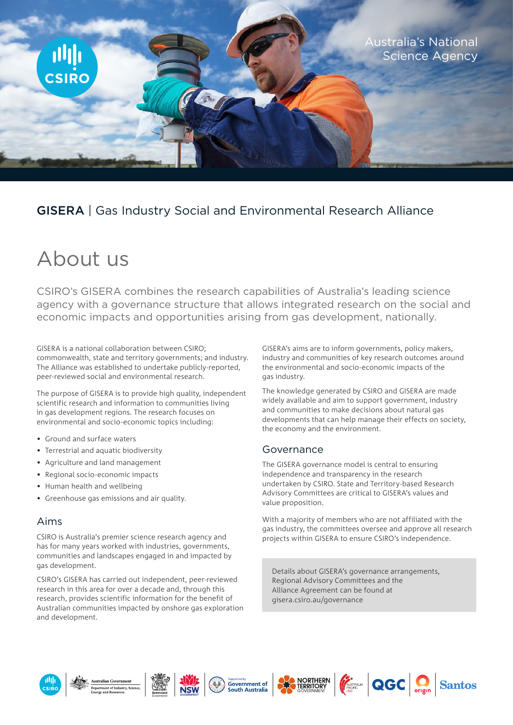

## GISERA | Gas Industry Social and Environmental Research Alliance

# About us

CSIRO's GISERA combines the research capabilities of Australia's leading science agency with a governance structure that allows integrated research on the social and economic impacts and opportunities arising from gas development, nationally.

GISERA is a national collaboration between CSIRO; commonwealth, state and territory governments; and industry. The Alliance was established to undertake publicly-reported, peer-reviewed social and environmental research.

The purpose of GISERA is to provide high quality, independent scientific research and information to communities living in gas development regions. The research focuses on environmental and socio-economic topics including:

- Ground and surface waters
- Terrestrial and aquatic biodiversity
- Agriculture and land management
- Regional socio-economic impacts
- Human health and wellbeing
- Greenhouse gas emissions and air quality.

#### Aims

CSIRO is Australia's premier science research agency and has for many years worked with industries, governments, communities and landscapes engaged in and impacted by gas development.

CSIRO's GISERA has carried out independent, peer-reviewed research in this area for over a decade and, through this research, provides scientific information for the benefit of Australian communities impacted by onshore gas exploration and development.

GISERA's aims are to inform governments, policy makers, industry and communities of key research outcomes around the environmental and socio-economic impacts of the gas industry.

The knowledge generated by CSIRO and GISERA are made widely available and aim to support government, industry and communities to make decisions about natural gas developments that can help manage their effects on society, the economy and the environment.

#### Governance

The GISERA governance model is central to ensuring independence and transparency in the research undertaken by CSIRO. State and Territory-based Research Advisory Committees are critical to GISERA's values and value proposition.

With a majority of members who are not affiliated with the gas industry, the committees oversee and approve all research projects within GISERA to ensure CSIRO's independence.

Details about GISERA's governance arrangements, Regional Advisory Committees and the Alliance Agreement can be found at gisera.csiro.au/governance